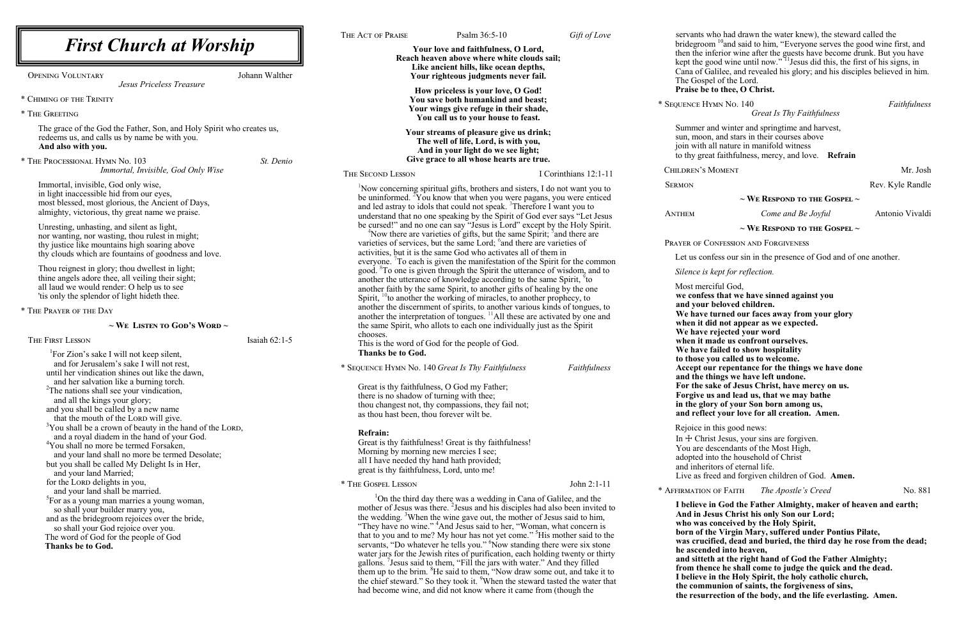**we confess that we have sinned against you beloved children.** turned our faces away from your glory **id not appear as we expected.** rejected your word **when it made us confront ourselves.** failed to show hospitality **to those you called us to welcome. Accept our repentance for the things we have done** hings we have left undone. **fake of Jesus Christ, have mercy on us. Forgive us and lead us, that we may bathe in the glory of your Son born among us, and reflect your love for all creation. Amen.** 

i this good news:

ist Jesus, your sins are forgiven.

lescendants of the Most High,

nto the household of Christ

itors of eternal life.

reed and forgiven children of God. **Amen.** 

 $\times$  Affirmation of Faith *The Apostle's Creed* No. 881

in God the Father Almighty, maker of heaven and earth; **And is only Son our Lord;** conceived by the Holy Spirit, he Virgin Mary, suffered under Pontius Pilate, ified, dead and buried, the third day he rose from the dead; ded into heaven,

th at the right hand of God the Father Almighty;

\* Sequence Hymn No. 140 *Faithfulness*

*Great Is Thy Faithfulness*

and winter and springtime and harvest, n, and stars in their courses above all nature in manifold witness at faithfulness, mercy, and love. **Refrain** 

MOMENT Mr. Josh

Rev. Kyle Randle

|                                                                                                                                                                                                                                                   |                | THE ACT OF PRAISE                                                                                                                                                      | Psalm 36:5-10                                                                                                                                                                                                                                                                                                                                                                                                                                                                                                                                                                                                                                                                                                                                                                                                                                                                                                                                               | Gift of Love                        | servants v                                                                                                                 |
|---------------------------------------------------------------------------------------------------------------------------------------------------------------------------------------------------------------------------------------------------|----------------|------------------------------------------------------------------------------------------------------------------------------------------------------------------------|-------------------------------------------------------------------------------------------------------------------------------------------------------------------------------------------------------------------------------------------------------------------------------------------------------------------------------------------------------------------------------------------------------------------------------------------------------------------------------------------------------------------------------------------------------------------------------------------------------------------------------------------------------------------------------------------------------------------------------------------------------------------------------------------------------------------------------------------------------------------------------------------------------------------------------------------------------------|-------------------------------------|----------------------------------------------------------------------------------------------------------------------------|
| <b>First Church at Worship</b>                                                                                                                                                                                                                    |                |                                                                                                                                                                        | Your love and faithfulness, O Lord,                                                                                                                                                                                                                                                                                                                                                                                                                                                                                                                                                                                                                                                                                                                                                                                                                                                                                                                         |                                     | bridegroo<br>then the in                                                                                                   |
| <b>OPENING VOLUNTARY</b><br>Jesus Priceless Treasure                                                                                                                                                                                              | Johann Walther | Reach heaven above where white clouds sail;<br>Like ancient hills, like ocean depths,<br>Your righteous judgments never fail.                                          |                                                                                                                                                                                                                                                                                                                                                                                                                                                                                                                                                                                                                                                                                                                                                                                                                                                                                                                                                             | kept the g<br>Cana of C<br>The Gosp |                                                                                                                            |
| * CHIMING OF THE TRINITY                                                                                                                                                                                                                          |                |                                                                                                                                                                        | How priceless is your love, O God!<br>You save both humankind and beast;                                                                                                                                                                                                                                                                                                                                                                                                                                                                                                                                                                                                                                                                                                                                                                                                                                                                                    |                                     | Praise be                                                                                                                  |
| * THE GREETING                                                                                                                                                                                                                                    |                |                                                                                                                                                                        | Your wings give refuge in their shade,<br>You call us to your house to feast.                                                                                                                                                                                                                                                                                                                                                                                                                                                                                                                                                                                                                                                                                                                                                                                                                                                                               |                                     | * SEQUENCE H                                                                                                               |
| The grace of the God the Father, Son, and Holy Spirit who creates us,<br>redeems us, and calls us by name be with you.<br>And also with you.                                                                                                      |                |                                                                                                                                                                        | Your streams of pleasure give us drink;<br>The well of life, Lord, is with you,<br>And in your light do we see light;<br>Give grace to all whose hearts are true.                                                                                                                                                                                                                                                                                                                                                                                                                                                                                                                                                                                                                                                                                                                                                                                           |                                     | Summer a<br>sun, moor<br>join with<br>to thy gre                                                                           |
| * THE PROCESSIONAL HYMN No. 103<br>Immortal, Invisible, God Only Wise                                                                                                                                                                             | St. Denio      | THE SECOND LESSON                                                                                                                                                      |                                                                                                                                                                                                                                                                                                                                                                                                                                                                                                                                                                                                                                                                                                                                                                                                                                                                                                                                                             | I Corinthians 12:1-11               | CHILDREN'S                                                                                                                 |
| Immortal, invisible, God only wise,                                                                                                                                                                                                               |                |                                                                                                                                                                        |                                                                                                                                                                                                                                                                                                                                                                                                                                                                                                                                                                                                                                                                                                                                                                                                                                                                                                                                                             |                                     | <b>SERMON</b>                                                                                                              |
| in light inaccessible hid from our eyes,<br>most blessed, most glorious, the Ancient of Days,<br>almighty, victorious, thy great name we praise.<br>Unresting, unhasting, and silent as light,                                                    |                |                                                                                                                                                                        | <sup>1</sup> Now concerning spiritual gifts, brothers and sisters, I do not want you to<br>be uninformed. <sup>2</sup> You know that when you were pagans, you were enticed<br>and led astray to idols that could not speak. <sup>3</sup> Therefore I want you to<br>understand that no one speaking by the Spirit of God ever says "Let Jesus<br>be cursed!" and no one can say "Jesus is Lord" except by the Holy Spirit.                                                                                                                                                                                                                                                                                                                                                                                                                                                                                                                                 |                                     | ANTHEM                                                                                                                     |
| nor wanting, nor wasting, thou rulest in might;<br>thy justice like mountains high soaring above                                                                                                                                                  |                |                                                                                                                                                                        | $\rm{^4}$ Now there are varieties of gifts, but the same Spirit; $\rm{^3}$ and there are<br>varieties of services, but the same Lord; <sup>6</sup> and there are varieties of                                                                                                                                                                                                                                                                                                                                                                                                                                                                                                                                                                                                                                                                                                                                                                               |                                     | PRAYER OF C                                                                                                                |
| thy clouds which are fountains of goodness and love.                                                                                                                                                                                              |                |                                                                                                                                                                        | activities, but it is the same God who activates all of them in                                                                                                                                                                                                                                                                                                                                                                                                                                                                                                                                                                                                                                                                                                                                                                                                                                                                                             |                                     | Let us con                                                                                                                 |
| Thou reignest in glory; thou dwellest in light;                                                                                                                                                                                                   |                |                                                                                                                                                                        | everyone. To each is given the manifestation of the Spirit for the common<br>good. <sup>8</sup> To one is given through the Spirit the utterance of wisdom, and to                                                                                                                                                                                                                                                                                                                                                                                                                                                                                                                                                                                                                                                                                                                                                                                          |                                     | Silence is                                                                                                                 |
| thine angels adore thee, all veiling their sight;<br>all laud we would render: O help us to see                                                                                                                                                   |                |                                                                                                                                                                        | another the utterance of knowledge according to the same Spirit, <sup>9</sup> to<br>another faith by the same Spirit, to another gifts of healing by the one                                                                                                                                                                                                                                                                                                                                                                                                                                                                                                                                                                                                                                                                                                                                                                                                |                                     | Most mer                                                                                                                   |
| 'tis only the splendor of light hideth thee.                                                                                                                                                                                                      |                |                                                                                                                                                                        | Spirit, $^{10}$ to another the working of miracles, to another prophecy, to                                                                                                                                                                                                                                                                                                                                                                                                                                                                                                                                                                                                                                                                                                                                                                                                                                                                                 |                                     | we confer<br>and your                                                                                                      |
| * THE PRAYER OF THE DAY                                                                                                                                                                                                                           |                | another the discernment of spirits, to another various kinds of tongues, to<br>another the interpretation of tongues. <sup>11</sup> All these are activated by one and |                                                                                                                                                                                                                                                                                                                                                                                                                                                                                                                                                                                                                                                                                                                                                                                                                                                                                                                                                             | We have                             |                                                                                                                            |
| $\sim$ We Listen to God's Word $\sim$                                                                                                                                                                                                             |                |                                                                                                                                                                        | the same Spirit, who allots to each one individually just as the Spirit                                                                                                                                                                                                                                                                                                                                                                                                                                                                                                                                                                                                                                                                                                                                                                                                                                                                                     |                                     | when it d<br>We have                                                                                                       |
| THE FIRST LESSON                                                                                                                                                                                                                                  | Isaiah 62:1-5  | chooses.                                                                                                                                                               | This is the word of God for the people of God.                                                                                                                                                                                                                                                                                                                                                                                                                                                                                                                                                                                                                                                                                                                                                                                                                                                                                                              |                                     | when it n                                                                                                                  |
| <sup>1</sup> For Zion's sake I will not keep silent,                                                                                                                                                                                              |                | <b>Thanks be to God.</b>                                                                                                                                               |                                                                                                                                                                                                                                                                                                                                                                                                                                                                                                                                                                                                                                                                                                                                                                                                                                                                                                                                                             |                                     | We have<br>to those y                                                                                                      |
| and for Jerusalem's sake I will not rest,<br>until her vindication shines out like the dawn,                                                                                                                                                      |                |                                                                                                                                                                        | * SEQUENCE HYMN No. 140 Great Is Thy Faithfulness                                                                                                                                                                                                                                                                                                                                                                                                                                                                                                                                                                                                                                                                                                                                                                                                                                                                                                           | Faithfulness                        | Accept of                                                                                                                  |
| and her salvation like a burning torch.                                                                                                                                                                                                           |                |                                                                                                                                                                        | Great is thy faithfulness, O God my Father;                                                                                                                                                                                                                                                                                                                                                                                                                                                                                                                                                                                                                                                                                                                                                                                                                                                                                                                 |                                     | and the t<br>For the s                                                                                                     |
| <sup>2</sup> The nations shall see your vindication,<br>and all the kings your glory;                                                                                                                                                             |                | there is no shadow of turning with thee;                                                                                                                               |                                                                                                                                                                                                                                                                                                                                                                                                                                                                                                                                                                                                                                                                                                                                                                                                                                                                                                                                                             |                                     | Forgive u                                                                                                                  |
| and you shall be called by a new name                                                                                                                                                                                                             |                | as thou hast been, thou forever wilt be.                                                                                                                               | thou changest not, thy compassions, they fail not;                                                                                                                                                                                                                                                                                                                                                                                                                                                                                                                                                                                                                                                                                                                                                                                                                                                                                                          |                                     | in the glo<br>and refle                                                                                                    |
| that the mouth of the LORD will give.<br><sup>3</sup> You shall be a crown of beauty in the hand of the LORD,                                                                                                                                     |                |                                                                                                                                                                        |                                                                                                                                                                                                                                                                                                                                                                                                                                                                                                                                                                                                                                                                                                                                                                                                                                                                                                                                                             |                                     | Rejoice in                                                                                                                 |
| and a royal diadem in the hand of your God.                                                                                                                                                                                                       |                | <b>Refrain:</b>                                                                                                                                                        | Great is thy faithfulness! Great is thy faithfulness!                                                                                                                                                                                                                                                                                                                                                                                                                                                                                                                                                                                                                                                                                                                                                                                                                                                                                                       |                                     | In $\pm$ Chri                                                                                                              |
| <sup>4</sup> You shall no more be termed Forsaken,<br>and your land shall no more be termed Desolate;                                                                                                                                             |                | Morning by morning new mercies I see;                                                                                                                                  |                                                                                                                                                                                                                                                                                                                                                                                                                                                                                                                                                                                                                                                                                                                                                                                                                                                                                                                                                             |                                     | You are d                                                                                                                  |
| but you shall be called My Delight Is in Her,                                                                                                                                                                                                     |                |                                                                                                                                                                        | all I have needed thy hand hath provided;                                                                                                                                                                                                                                                                                                                                                                                                                                                                                                                                                                                                                                                                                                                                                                                                                                                                                                                   |                                     | adopted in<br>and inher                                                                                                    |
| and your land Married;                                                                                                                                                                                                                            |                | great is thy faithfulness, Lord, unto me!                                                                                                                              |                                                                                                                                                                                                                                                                                                                                                                                                                                                                                                                                                                                                                                                                                                                                                                                                                                                                                                                                                             |                                     | Live as fr                                                                                                                 |
| for the LORD delights in you,<br>and your land shall be married.                                                                                                                                                                                  |                | * THE GOSPEL LESSON                                                                                                                                                    |                                                                                                                                                                                                                                                                                                                                                                                                                                                                                                                                                                                                                                                                                                                                                                                                                                                                                                                                                             | John 2:1-11                         | * AFFIRMATION                                                                                                              |
| <sup>5</sup> For as a young man marries a young woman,<br>so shall your builder marry you,<br>and as the bridegroom rejoices over the bride,<br>so shall your God rejoice over you.<br>The word of God for the people of God<br>Thanks be to God. |                |                                                                                                                                                                        | <sup>1</sup> On the third day there was a wedding in Cana of Galilee, and the<br>mother of Jesus was there. <sup>2</sup> Jesus and his disciples had also been invited to<br>the wedding. <sup>3</sup> When the wine gave out, the mother of Jesus said to him,<br>"They have no wine." <sup>4</sup> And Jesus said to her, "Woman, what concern is<br>that to you and to me? My hour has not yet come." <sup>5</sup> His mother said to the<br>servants, "Do whatever he tells you." <sup>6</sup> Now standing there were six stone<br>water jars for the Jewish rites of purification, each holding twenty or thirty<br>gallons. Jesus said to them, "Fill the jars with water." And they filled<br>them up to the brim. <sup>8</sup> He said to them, "Now draw some out, and take it to<br>the chief steward." So they took it. <sup>9</sup> When the steward tasted the water that<br>had become wine, and did not know where it came from (though the |                                     | I believe<br>And in Jo<br>who was<br>born of t<br>was cruc<br>he ascend<br>and sittet<br>from the<br>I believe<br>the comn |

who had drawn the water knew), the steward called the bridgeronm <sup>10</sup> and said to him, "Everyone serves the good wine first, and then the inferior wine after the guests have become drunk. But you have kept the good wine until now."<sup>11</sup> Jesus did this, the first of his signs, in Falilee, and revealed his glory; and his disciples believed in him. el of the Lord. to thee, O Christ.

## **~ We Respond to the Gospel ~** *Come and Be Joyful* Antonio Vivaldi **~ We Respond to the Gospel ~**

CONFESSION AND FORGIVENESS

nfess our sin in the presence of God and of one another.

*kept for reflection.* 

ciful God,

**from thence he shall come to judge the quick and the dead.**

in the Holy Spirit, the holy catholic church,

**the communion of saints, the forgiveness of sins,** 

**the resurrection of the body, and the life everlasting. Amen.**